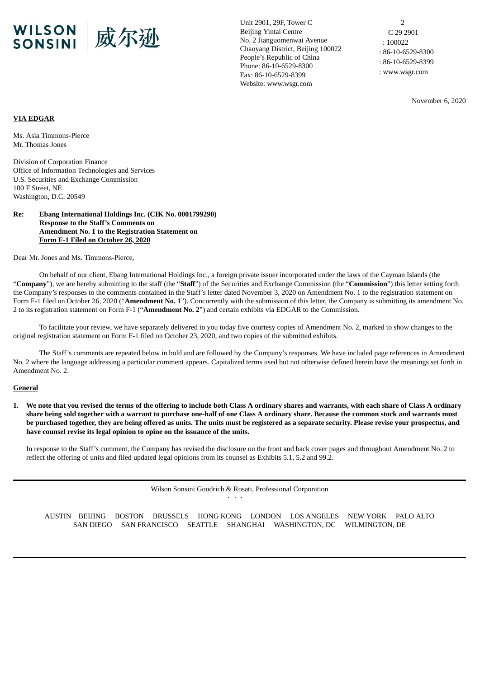

Unit 2901, 29F, Tower C Beijing Yintai Centre No. 2 Jianguomenwai Avenue Chaoyang District, Beijing 100022 People's Republic of China Phone: 86-10-6529-8300 Fax: 86-10-6529-8399 Website: www.wsgr.com

2 C 29 2901 : 100022 : 86-10-6529-8300 : 86-10-6529-8399 : www.wsgr.com

November 6, 2020

# **VIA EDGAR**

Ms. Asia Timmons-Pierce Mr. Thomas Jones

Division of Corporation Finance Office of Information Technologies and Services U.S. Securities and Exchange Commission 100 F Street, NE Washington, D.C. 20549

### **Re: Ebang International Holdings Inc. (CIK No. 0001799290) Response to the Staff's Comments on Amendment No. 1 to the Registration Statement on Form F-1 Filed on October 26, 2020**

Dear Mr. Jones and Ms. Timmons-Pierce,

On behalf of our client, Ebang International Holdings Inc., a foreign private issuer incorporated under the laws of the Cayman Islands (the "**Company**"), we are hereby submitting to the staff (the "**Staff**") of the Securities and Exchange Commission (the "**Commission**") this letter setting forth the Company's responses to the comments contained in the Staff's letter dated November 3, 2020 on Amendment No. 1 to the registration statement on Form F-1 filed on October 26, 2020 ("**Amendment No. 1**"). Concurrently with the submission of this letter, the Company is submitting its amendment No. 2 to its registration statement on Form F-1 ("**Amendment No. 2**") and certain exhibits via EDGAR to the Commission.

To facilitate your review, we have separately delivered to you today five courtesy copies of Amendment No. 2, marked to show changes to the original registration statement on Form F-1 filed on October 23, 2020, and two copies of the submitted exhibits.

The Staff's comments are repeated below in bold and are followed by the Company's responses. We have included page references in Amendment No. 2 where the language addressing a particular comment appears. Capitalized terms used but not otherwise defined herein have the meanings set forth in Amendment No. 2.

#### **General**

1. We note that you revised the terms of the offering to include both Class A ordinary shares and warrants, with each share of Class A ordinary share being sold together with a warrant to purchase one-half of one Class A ordinary share. Because the common stock and warrants must be purchased together, they are being offered as units. The units must be registered as a separate security. Please revise your prospectus, and **have counsel revise its legal opinion to opine on the issuance of the units.**

In response to the Staff's comment, the Company has revised the disclosure on the front and back cover pages and throughout Amendment No. 2 to reflect the offering of units and filed updated legal opinions from its counsel as Exhibits 5.1, 5.2 and 99.2.

> Wilson Sonsini Goodrich & Rosati, Professional Corporation · · ·

AUSTIN BEIJING BOSTON BRUSSELS HONG KONG LONDON LOS ANGELES NEW YORK PALO ALTO SAN DIEGO SAN FRANCISCO SEATTLE SHANGHAI WASHINGTON, DC WILMINGTON, DE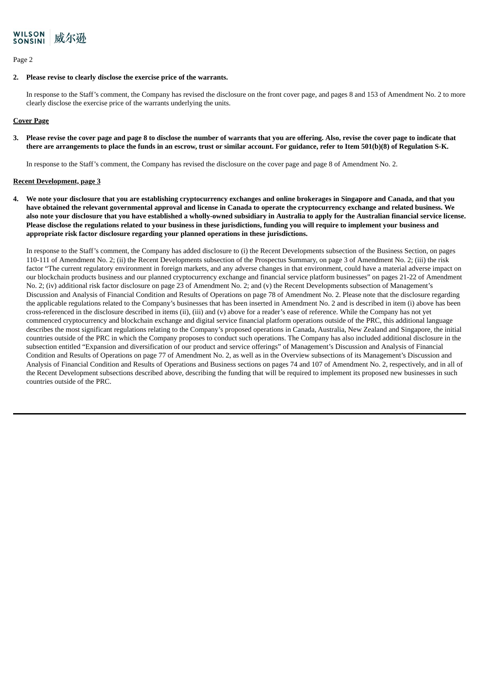

### Page 2

### **2. Please revise to clearly disclose the exercise price of the warrants.**

In response to the Staff's comment, the Company has revised the disclosure on the front cover page, and pages 8 and 153 of Amendment No. 2 to more clearly disclose the exercise price of the warrants underlying the units.

# **Cover Page**

3. Please revise the cover page and page 8 to disclose the number of warrants that you are offering. Also, revise the cover page to indicate that there are arrangements to place the funds in an escrow, trust or similar account. For guidance, refer to Item 501(b)(8) of Regulation S-K.

In response to the Staff's comment, the Company has revised the disclosure on the cover page and page 8 of Amendment No. 2.

### **Recent Development, page 3**

4. We note your disclosure that you are establishing cryptocurrency exchanges and online brokerages in Singapore and Canada, and that you have obtained the relevant governmental approval and license in Canada to operate the cryptocurrency exchange and related business. We also note your disclosure that you have established a wholly-owned subsidiary in Australia to apply for the Australian financial service license. Please disclose the regulations related to your business in these jurisdictions, funding you will require to implement your business and **appropriate risk factor disclosure regarding your planned operations in these jurisdictions.**

In response to the Staff's comment, the Company has added disclosure to (i) the Recent Developments subsection of the Business Section, on pages 110-111 of Amendment No. 2; (ii) the Recent Developments subsection of the Prospectus Summary, on page 3 of Amendment No. 2; (iii) the risk factor "The current regulatory environment in foreign markets, and any adverse changes in that environment, could have a material adverse impact on our blockchain products business and our planned cryptocurrency exchange and financial service platform businesses" on pages 21-22 of Amendment No. 2; (iv) additional risk factor disclosure on page 23 of Amendment No. 2; and (v) the Recent Developments subsection of Management's Discussion and Analysis of Financial Condition and Results of Operations on page 78 of Amendment No. 2. Please note that the disclosure regarding the applicable regulations related to the Company's businesses that has been inserted in Amendment No. 2 and is described in item (i) above has been cross-referenced in the disclosure described in items (ii), (iii) and (v) above for a reader's ease of reference. While the Company has not yet commenced cryptocurrency and blockchain exchange and digital service financial platform operations outside of the PRC, this additional language describes the most significant regulations relating to the Company's proposed operations in Canada, Australia, New Zealand and Singapore, the initial countries outside of the PRC in which the Company proposes to conduct such operations. The Company has also included additional disclosure in the subsection entitled "Expansion and diversification of our product and service offerings" of Management's Discussion and Analysis of Financial Condition and Results of Operations on page 77 of Amendment No. 2, as well as in the Overview subsections of its Management's Discussion and Analysis of Financial Condition and Results of Operations and Business sections on pages 74 and 107 of Amendment No. 2, respectively, and in all of the Recent Development subsections described above, describing the funding that will be required to implement its proposed new businesses in such countries outside of the PRC.